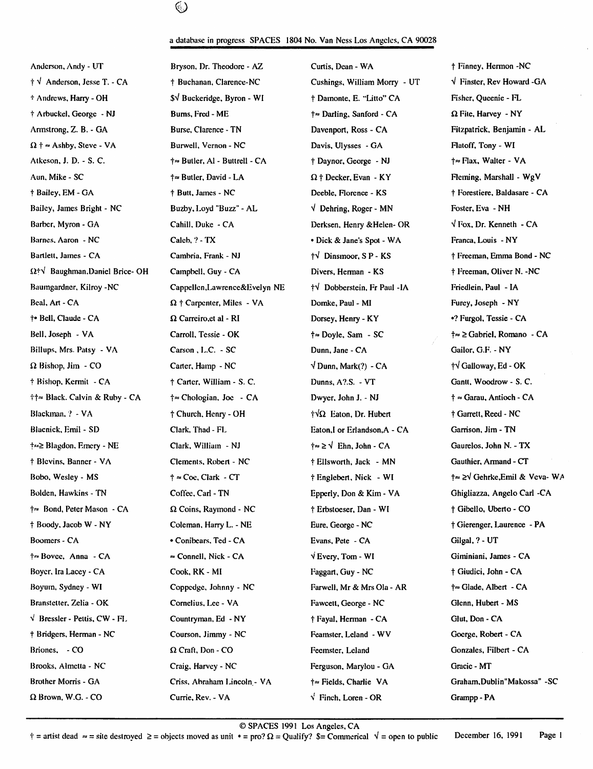# ⊛

#### a database in progress SPACES 1804 No. Van Ness Los Angeles, CA 90028

Anderson, Andy - UT Bryson, Dr. Theodore - AZ Curtis, Dean - WA t Finney, Hermon -NC † V Anderson, Jesse T. - CA t the Buchanan, Clarence-NC Cushings, William Morry - UT  $\sqrt{\frac{1}{2}}$  Finster, Rev Howard -GA Andrews, Hany - OH \$V Buckeridge, Byron - WI t Damonte, E. "Litto" CA Fisher, Queenie - FL  $\dagger$  Arbuckel, George - NJ Burns, Fred - ME  $\dagger \approx$  Darling, Sanford - CA  $\Omega$  File, Harvey - NY Armstrong, Z. B. - GA Burse, Clarence - TN Davenport, Ross - CA Fitzpatrick, Benjamin - AL  $\Omega$  +  $\simeq$  Ashby, Steve - VA Burwell, Vernon - NC Davis, Ulysses - GA Flatoff, Tony - WI Atkeson, J. D. - S. C.  $\uparrow \approx$  Butler, A1 - Buttrell - CA  $\uparrow$  Daynor, George - NJ  $\uparrow \approx$  Flax, Walter - VA Aun, Mike - SC  $\uparrow \approx$  Butler, David - LA  $\Omega$  † Decker, Evan - KY Fleming, Marshall - WgV t Bailey, EM - GA t Butt, James - NC Deeble, Florence - KS t Forestiere, Baldasare - CA Bailey, James Bright - NC Buzby, Loyd "Buzz" - AL  $\forall$  Dehring, Roger - MN Foster, Eva - NH Barber, Myron - GA Cahill, Duke - CA Derksen, Henry &Helen- OR  $\sqrt{F}$  Fox, Dr. Kenneth - CA Barnes, Aaron - NC Caleb, ? - TX • Dick & Jane's Spot - WA Franca, Louis - NY Bartlett, James - CA Cambria, Frank - NJ  $\dagger\sqrt{}$  Dinsmoor, S P - KS  $\dagger$  Freeman, Ernma Bond - NC  $\Omega^+\nu^T$  Baughman.Daniel Brice- OH Campbell, Guy - CA Divers, Herman - KS  $\uparrow$  Freeman, Oliver N. -NC Baumgardner, Kilroy -NC Cappellcn,Lawrence&Evelyn NE  $\dot{\tau}$  Dobberstein, Fr Paul -IA Friedlein, Paul - IA Beal, Art - CA  $\Omega$  † Carpenter, Miles - VA Domke, Paul - MI Furey, Joseph - NY f Bell, Claude - CA Q Carreiro,et al - RI Dorsey, Henry - KY •? Furgol, Tessie - CA Bell, Joseph - VA Carroll, Tessie - OK  $\uparrow \approx$  Doyle, Sam - SC  $\downarrow \approx \cong$  Gabriel, Romano - CA Biliups, Mrs. Patsy - VA Carson , L.C. - SC Dunn, Jane - CA Gailor, G.F. - NY  $\Omega$  Bishop, Jim - CO Carter, Hamp - NC  $\sqrt{D}$ unn, Mark(?) - CA  $\dagger \sqrt{G}$ alloway, Ed - OK t Bishop, Kerrait - CA t Carter, William - S. C. Dunns, A?.S. - VT Gantt, Woodrow - S. C.  $\dagger \uparrow \approx$  Black. Calvin & Ruby - CA  $\dagger \approx$  Chologian, Joe - CA Dwyer, John J. - NJ  $\dagger \approx$  Garau, Antioch - CA Blackinan, ? - VA  $\uparrow$  Church, Henry - OH  $\uparrow \sqrt{\Omega}$  Eaton, Dr. Hubert  $\uparrow$  Garrett, Reed - NC Blacnick, Erail - SD Clark, Thad - FL Eaton,I or Erlandson,A - CA Garrison, Jim - TN t Blevins, Banner - VA Clements, Robert - NC t Ellsworth, Jack - MN Gauthier, Armand - CT Bobo, Wesley - MS  $\uparrow \approx \text{Coc}$ , Clark - CT  $\uparrow$  Englebert, Nick - WI  $\uparrow \approx \geq \sqrt{\text{Gehrke}$ , Emil & Veva- WA Bolden, Hawkins - TN Coffee, Carl - TN Epperly, Don & Kim - VA Ghigliazza, Angelo Carl - CA  $\dagger \approx$  Bond, Peter Mason - CA  $\Omega$  Coins, Raymond - NC  $\dagger$  Erbstoeser, Dan - WI  $\dagger$  Gibello, Uberto - CO t Boody, Jacob W - NY Coleman, Harry L. - NE Eure, George - NC t Gierenger, Laurence - PA Boomers - CA  $\bullet$  Conibears, Ted - CA Evans, Pete - CA Gilgal, ? - UT †≈ Bovce, Anna - CA = Connell, Nick - CA V Every, Tom - WI Giminiani, James - CA Boyer, Ira Lacey - CA Cook, RK - MI I I'll and Giudici, John - CA Cook, RK - MI I'll and the Giudici, John - C Boyum, Sydney - WI Coppedge, Johnny - NC Farwell, Mr & Mrs Ola - AR  $\uparrow \approx$  Glade, Albert - CA Branstetter, Zelia - OK Cornelius, Lee - VA Fawcett, George - NC Glenn, Hubert - MS  $\sqrt{B}$  Bressler - Pettis, CW - FI. Countryman, Ed - NY  $\ddot{B}$  + Fayal, Herman - CA Glut, Don - CA t Bridgers, Herman - NC Courson. Jimmy - NC Feamster, Leland - WV Goerge, Robert - CA Briones,  $-CO$   $\Omega$  Craft, Don - CO Fecmster, Leland Gonzales, Filbert - CA Brooks, Almetta - NC **Craig, Harvey - NC** Ferguson, Marylou - GA Gracic - MT Brother Morris - GA Criss, Abraham Lincoln - VA t= Fields, Charlie VA Graham, Dublin "Makossa" - SC n Brown, W.G. - CO Currie, Rev. - VA V Finch, Loren - OR Grampp - PA

Blagdon, Emery - NE Clark, William - NJ F≈ ≥ V Ehn, John - CA Gaurelos, John N. - TX

© SPACES 1991 Los Angeles, CA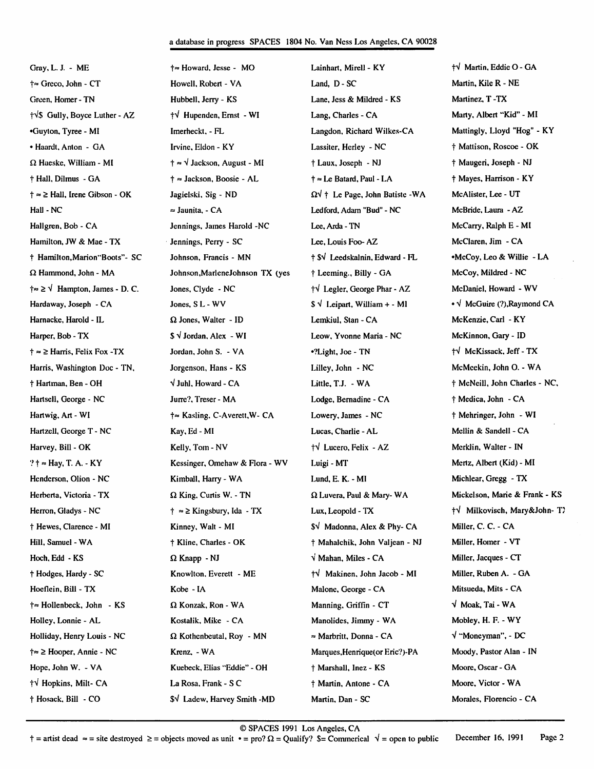## a database in progress SPACES 1804 No. Van Ness Los Angeles, CA 90028

Gray, L. J. - ME t«» Greco, John - CT Green, Homer - TN  $\dot{\uparrow}$  Gully, Boyce Luther - AZ •Guyton, Tyree - Ml • Haardt, Anton - GA  $\Omega$  Haeske, William - MI t Hall, Dilnius - GA  $\dagger \approx \geq$  Hall, Irene Gibson - OK Hall - NC Hallgren, Bob - CA Hamilton, JW & Mae - TX t Hamilton,Marion"Boots"- SC Q Hammond, John - MA  $\dagger \approx \geq \sqrt{\frac{1}{2}}$  Hampton, James - D. C. Hardaway, Joseph - CA Harnacke, Harold - IL Harper, Bob - TX  $\dagger \approx \geq$  Harris, Felix Fox -TX Harris, Washington Doc - TN, t Hartman, Ben - OH Hartsell, George - NC Hartwig, Art - WI Hartzell, George T - NC Harvey. Bill - OK ? † ≈ Hay, T. A. - KY Henderson, Olion - NC Herberta, Victoria - TX Herron, Gladys - NC t Hewes, Qarence - MI Hill, Samuel - WA Hoch, Edd - KS t Hodges, Hardy - SC Hoetlein, Bill - TX †≈ Hollenbeck, John - KS Holley, Lonnie - AL Holliday, Henry Louis - NC > Hooper, Annie - NC Hope, John W. - VA tV Hopkins, Milt- CA t Hosack, Bill - CO

 $\dagger \approx$  Howard, Jesse - MO Howell, Robert - VA Hubbell, Jerry - KS fV Hupenden, Emst - WI Imerheckt, - FL Irvine, Eldon - KY  $\dagger \approx \sqrt{\text{Jackson}}$ , August - MI † ≈ Jackson, Boosie - AL Jagielski, Sig - ND  $\approx$  Jaunita, - CA Jennings, James Harold -NC Jennings, Perry - SC Johnson, Francis - MN Johnson,MarleneJohnson TX (yes Jones, Clyde - NC Jones, S L - WV Q Jones, Walter - ID  $$ \sqrt{\ }$  Jordan, Alex - WI Jordan, John S. - VA Jorgenson, Hans - KS V Juhl, Howard - CA Jurre?, Treser- MA †≈ Kasling, C-Averett, W- CA Kay, Ed - MI Kelly, Tom - NV Kessinger, Omehaw & Flora - WV Kimball, Harry - WA  $\Omega$  King, Curtis W. - TN  $\dagger \approx \geq$  Kingsbury, Ida - TX Kinney, Walt - MI t Kline, Charles - OK  $\Omega$  Knapp - NJ Knowlton, Everett - ME Kobe - IA  $\Omega$  Konzak, Ron - WA Kostalik, Mike - CA  $\Omega$  Kothenbeutal, Roy - MN Krenz. - WA Kuebeck, Elias "Eddie" - OH La Rosa, Frank - S C \$V Ladew, Harvey Smith -MD

Lainhart, Mirell - KY Land, D-SC Lane, Jess & Mildred - KS Lang, Charles - CA Langdon, Richard Wilkes-CA Lassiter, Herley - NC t Laux, Joseph - NJ † ≈ Le Batard, Paul - LA  $\Omega$ <sup> $\psi$ </sup> † Le Page, John Batiste -WA Led ford, Adam "Bud" - NC Lee, Arda - TN Lee, Louis Foo- AZ t SV Leedskalnin, Edward - FL t Leeming., Billy - GA  $\dagger\sqrt{ }$  Legler, George Phar - AZ  $\$ \sqrt{$  Leipart, William + - Ml Lemkiul, Stan - CA Leow, Yvonne Maria - NC •?Light, Joe - TN Lilley, John - NC Little, T.J. - WA Lodge, Bemadine - CA Lowery, James - NC Lucas, Charlie - AL fV Lucero, Felix - AZ Luigi - MT Lund, E. K. - MI  $\Omega$  Luvera, Paul & Mary- WA Lux, Leopold - TX \$V Madonna, Alex & Phy- CA t Mahalchik, John Valjean - NJ y Mahan, Miles - CA tV Makinen, John Jacob - MI Malone, George - CA Manning, Griffin - CT Manolides, Jimmy - WA =» Marbritt, Donna - CA Marques, Henrique(or Eric?)-PA t Marshall, Inez - KS t Martin, Antone - CA Martin, Dan - SC

fV Martin, Eddie O - GA Martin, Kile R - NE Martinez, T -TX Marty, Albert "Kid" - MI Mattingly, Lloyd "Hog" - KY t Mattison, Roscoe - OK t Maugeri, Joseph - NJ t Mayes, Harrison - KY McAlister, Lee - UT McBride, Laura - AZ McCarry, Ralph E - MI McCIaren, Jim - CA •McCoy, Leo & Willie - LA McCoy, Mildred - NC McDaniel, Howard - WV • V McGuire (?),Raymond CA McKenzie,Carl - KY McKinnon, Gary - ID tV McKissack,Jeff-TX McMeekin, John O. - WA t McNeill, John Charles - NC, t Medica, John - CA t Mehringer, John - WI Mellin & Sandell - CA Merklin, Walter - IN Mertz, Albert (Kid) - MI Michlear, Gregg - TX Mickelson, Marie & Frank - KS fV Milkovisch, Mary&John- TJ Miller, C. C. - CA Miller, Homer - VT Miller, Jacques - CT Miller, Ruben A. - GA Mitsueda, Mits - CA V Moak,Tai-WA Mobley, H. F. - WY V "Moneyman", - DC Moody, Pastor Alan - IN Moore, Oscar - GA Moore, Victor - WA Morales, Florencio - CA

©SPACES 1991 Los Angeles, CA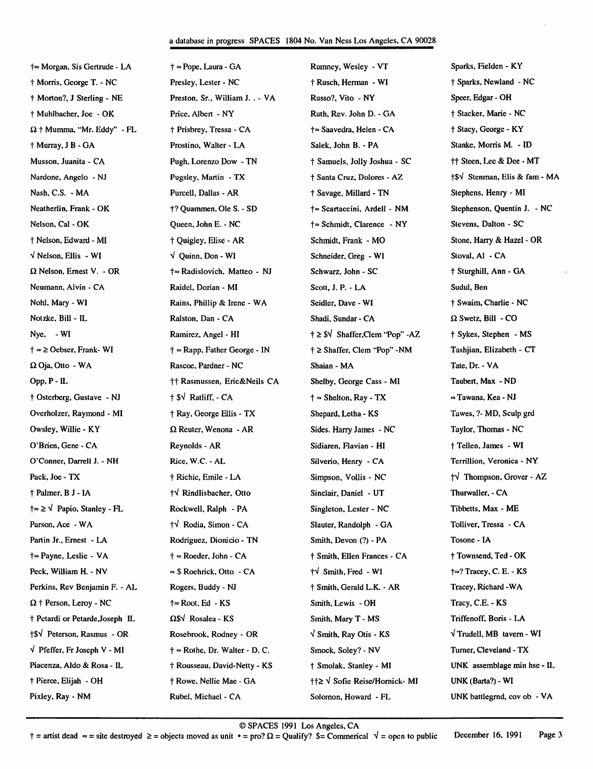### a database in progress SPACES 1804 No. Van Ness Los Angeles, CA 90028

Morgan, Sis Gertrude - LA t Morris, George T. - NC t Morton?, J Sterling - NE t Muhlbacher, Joe - OK  $\Omega$  † Mumma, "Mr. Eddy" - FL t Murray, J B - GA Musson, Juanita - CA Nardone, Angelo - NJ Nash,C.S. - MA Neatherlin, Frank - OK Nelson, Cal - OK t Nelson, Edward - MI  $\sqrt{}$  Nelson, Ellis - WI  $\Omega$  Nelson, Ernest V. - OR Neumann, Alvin - CA Nohl, Mary - WI Notzke, Bill - IL Nye, - WI  $\dagger \approx \geq$  Oebser, Frank- WI  $\Omega$  Oja, Otto - WA Opp, P - IL t Osterberg, Gustave - NJ Overholzer, Raymond - MI Owsley, Willie - KY O'Brien, Gene - CA O'Conner, Darrell J. - NH Pack, Joe - TX t Palmer, B J - lA  $\dagger \approx \geq \sqrt{Papio}$ , Stanley - FL Parson, Ace - WA Partin Jr., Ernest - LA t» Payne, Leslie - VA Peck, William H. - NV Perkins, Rev Benjamin F. - AL  $\Omega$  † Person, Leroy - NC t Petardi or Petarde Joseph IL t\$V Peterson, Rasmus - OR V Pfeffer, Fr Joseph V - MI Piacenza, Aldo & Rosa - IL t Pierce, Elijah - OH Pixley, Ray - NM

t » Pope, Laura - GA Presley, Lester - NC Preston, Sr., William J. . - VA Price, Albert - NY t Prisbrey, Tressa - CA Prostino, Walter - LA Pugh, Lorenzo Dow - TN Pugsley, Martin - TX Purcell, Dallas - AR t? Quammen, Ole S. - SD Queen, John E. - NC t Quigley, Elise - AR V Quinn, Don - WI †≈ Radislovich, Matteo - NJ Raidel, Dorian - MI Rains, Phillip & Irene - WA Ralston, Dan - CA Ramirez, Angel - HI † ≈ Rapp, Father George - IN Rascoe, Pardner - NC tt Rasmussen, Eric&Neils CA t \$V Ratliff, - CA t Ray, George Ellis - TX Q. Reuter, Wenona - AR Reynolds - AR Rice, W.C. - AL t Richie, Emile - LA fV Rindlisbacher, Otto Rockwell, Ralph - PA tV Rodia, Simon - CA Rodriguez, Dionicio - TN  $\dagger \approx$  Roeder, John - CA  $\approx$  \$ Roehrick, Otto - CA Rogers, Buddy - NJ Root. Ed - KS  $\Omega$ S $\sqrt{ }$  Rosalea - KS Rosebrook, Rodney - OR  $\dagger$   $\approx$  Rothe, Dr. Walter - D. C. t Rousseau, David-Netty - KS t Rowe, Nellie Mae - GA Rubel, Michael - CA

Rumney, Wesley - VT t Rusch, Herman - WI Russo?, Vito - NY Ruth, Rev. John D. - GA Saavedra, Helen - CA Salek, John B. - PA t Samuels, Jolly Joshua - SC t Santa Cruz, Dolores - AZ t Savage, Millard - TN †≈ Scartaccini, Ardell - NM †≈ Schmidt, Clarence - NY Schmidt, Frank - MO Schneider, Greg - WI Schwarz, John - SC Scott, J. P. - LA Seidler, Dave - WI Shadi, Sundar - CA t > \$V Shaffcr,Qem "Pop" -AZ † ≥ Shaffer, Clem "Pop" -NM Shaian - MA Shelby, George Cass - MI  $\dagger \approx$  Shelton, Ray - TX Shepard, Letha - KS Sides. Harry James - NC Sidiaren, Flavian - HI Silverio, Henry - CA Simpson, Vollis - NC Sinclair, Daniel - UT Singleton, Lester - NC Slauter, Randolph - GA Smith, Devon (?) - PA t Smith, Ellen Frances - CA  $\dagger\sqrt{\text{Smith}}$ . Fred - WI † Smith, Gerald L.K. - AR Smith, Lewis - OH Smith, Mary T - MS  $\sqrt{}$  Smith, Ray Otis - KS Smock, Soley? - NV t Smolak, Stanley - MI  $\dagger$   $\geq$   $\vee$  Sofie Reise/Hornick- MI Solomon, Howard - FI^

Sparks, Fielden - KY t Sparks, Newland - NC Speer, Edgar - OH t Stacker, Marie - NC t Stacy, George - KY Stanke, Morris M. - ID tt Steen, Lec & Dee - MT t\$V Stenman, Elis & fam - MA Stephens, Henry - MI Stephenson, Quentin J. - NC Stevens, Dalton - SC Stone, Harry & Hazel - OR Stoval, A1 - CA t Sturghill, Ann - GA Sudul, Ben t Swaim, Charlie - NC  $\Omega$  Swetz, Bill - CO t Sykes, Stephen - MS Tashjian, Elizabeth - CT Tate, Dr. - VA Taubert, Max - ND  $\approx$  Tawana, Kea - NJ Tawes, 7- MD, Sculp grd Taylor, Thomas - NC tTeUen, James - WI Terrillion, Veronica - NY tV Thompson, Grover - AZ Thurwaller, - CA Tibbetts, Max - ME Tolliver, Tressa - CA Tosone - IA t Townsend, Ted - OK t»? Tracey, C. E. - KS Tracey, Richard -WA Tracy, C.E. - KS Triffenoff, Boris - LA  $\sqrt{}$  Trudell, MB tavern - WI Turner, Cleveland - TX UNK assemblage min hse - IL UNK (Barta?) - WI UNK battlegmd, cov ob - VA

© SPACES 1991 Los Angeles, CA